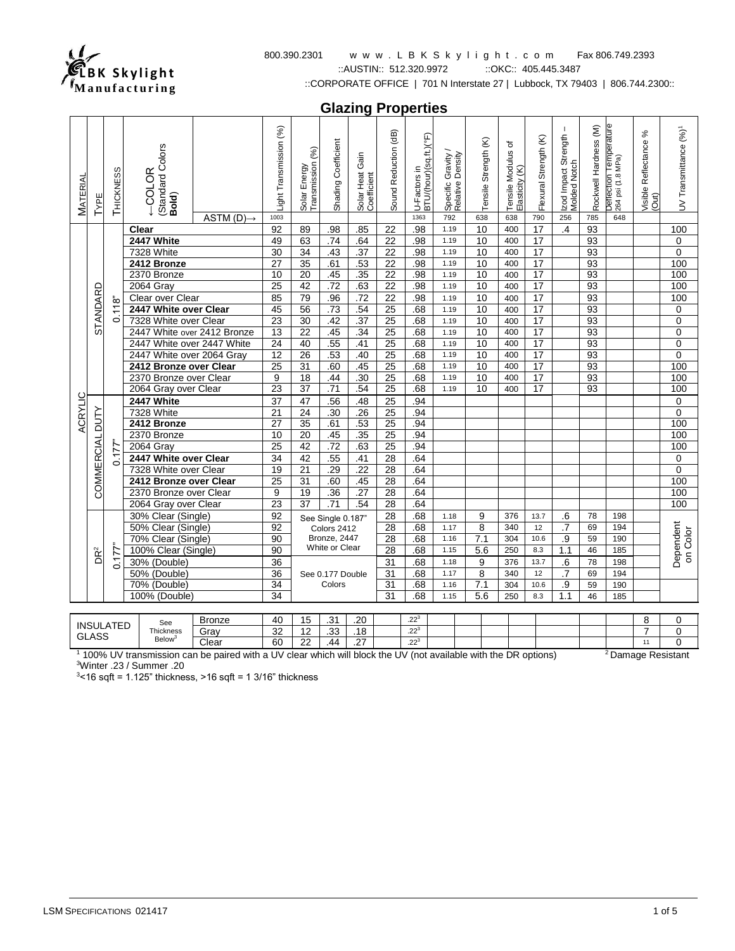

### 800.390.2301 w w w . L B K S k y l i g h t . c o m Fax 806.749.2393 ::AUSTIN:: 512.320.9972 ::OKC:: 405.445.3487

::CORPORATE OFFICE | 701 N Interstate 27 | Lubbock, TX 79403 | 806.744.2300::

**Glazing Properties**

| <b>MATERIAL</b>  | TypE            | THICKNESS | Standard Colors<br>COLOR<br>Bold)                                         | $ASTM(D) \rightarrow$ | -ight Transmission (%)<br>1003 | Solar Energy<br>Transmission (%) | Shading Coefficient              | Solar Heat Gain<br>Coefficient | Sound Reduction (dB) | U-Factors in<br>BTU/(hour)(sq.ft.)(°F)<br>1363 | Specific Gravity<br>Relative Density<br>792 | Tensile Strength (K)<br>638 | ৳<br>Tensile Modulus<br>Elasticity (K)<br>638 | Flexural Strength (K)<br>790 | $\mathbf{I}$<br>Izod Impact Strength<br>Molded Notch<br>256 | Rockwell Hardness (M)<br>785 | Deflection Temperature<br>264 psi (1.8 MPa)<br>648 | ℅<br>Visible Reflectance<br>(Out) | UV Transmittance (%) <sup>1</sup> |
|------------------|-----------------|-----------|---------------------------------------------------------------------------|-----------------------|--------------------------------|----------------------------------|----------------------------------|--------------------------------|----------------------|------------------------------------------------|---------------------------------------------|-----------------------------|-----------------------------------------------|------------------------------|-------------------------------------------------------------|------------------------------|----------------------------------------------------|-----------------------------------|-----------------------------------|
|                  |                 |           | Clear                                                                     |                       | 92                             | 89                               | .98                              | .85                            | 22                   | .98                                            | 1.19                                        | 10                          | 400                                           | $\overline{17}$              | $\overline{A}$                                              | 93                           |                                                    |                                   | 100                               |
|                  |                 |           | 2447 White                                                                |                       | 49                             | 63                               | .74                              | .64                            | 22                   | .98                                            | 1.19                                        | 10                          | 400                                           | 17                           |                                                             | 93                           |                                                    |                                   | 0                                 |
|                  |                 |           | 7328 White                                                                |                       | 30                             | 34                               | .43                              | .37                            | $\overline{22}$      | .98                                            | 1.19                                        | 10                          | 400                                           | $\overline{17}$              |                                                             | 93                           |                                                    |                                   | $\Omega$                          |
|                  |                 |           | 2412 Bronze                                                               |                       | 27                             | 35                               | .61                              | .53                            | 22                   | .98                                            | 1.19                                        | 10                          | 400                                           | 17                           |                                                             | 93                           |                                                    |                                   | 100                               |
|                  |                 |           | 2370 Bronze                                                               |                       | 10                             | 20                               | .45                              | .35                            | 22                   | .98                                            | 1.19                                        | 10                          | 400                                           | 17                           |                                                             | 93                           |                                                    |                                   | 100                               |
|                  |                 |           | 2064 Gray                                                                 |                       | 25                             | 42                               | .72                              | .63                            | 22                   | .98                                            | 1.19                                        | 10                          | 400                                           | $\overline{17}$              |                                                             | 93                           |                                                    |                                   | 100                               |
|                  | STANDARD        |           | Clear over Clear                                                          |                       | 85                             | 79                               | .96                              | .72                            | $\overline{22}$      | .98                                            | 1.19                                        | 10                          | 400                                           | $\overline{17}$              |                                                             | 93                           |                                                    |                                   | 100                               |
|                  |                 | 0.118     | 2447 White over Clear                                                     |                       | 45                             | $\overline{56}$                  | .73                              | .54                            | 25                   | .68                                            | 1.19                                        | 10                          | 400                                           | 17                           |                                                             | 93                           |                                                    |                                   | $\mathbf 0$                       |
|                  |                 |           | 7328 White over Clear                                                     |                       | 23                             | 30                               | .42                              | .37                            | 25                   | .68                                            | 1.19                                        | 10                          | 400                                           | 17                           |                                                             | 93                           |                                                    |                                   | $\mathbf 0$                       |
|                  |                 |           | 2447 White over 2412 Bronze                                               |                       | $\overline{13}$                | $\overline{22}$                  | .45                              | .34                            | $\overline{25}$      | .68                                            | 1.19                                        | 10                          | 400                                           | 17                           |                                                             | 93                           |                                                    |                                   | $\mathbf 0$                       |
|                  |                 |           | 2447 White over 2447 White                                                |                       | $\overline{24}$                | 40                               | .55                              | .41                            | 25                   | .68                                            | 1.19                                        | 10                          | 400                                           | 17                           |                                                             | 93                           |                                                    |                                   | $\mathbf 0$                       |
|                  |                 |           | 2447 White over 2064 Gray                                                 |                       | 12                             | 26                               | .53                              | .40                            | 25                   | .68                                            | 1.19                                        | 10                          | 400                                           | 17                           |                                                             | 93                           |                                                    |                                   | $\overline{0}$                    |
|                  |                 |           | 2412 Bronze over Clear                                                    |                       | 25                             | 31                               | .60                              | .45                            | 25                   | .68                                            | 1.19                                        | 10                          | 400                                           | 17                           |                                                             | 93                           |                                                    |                                   | 100                               |
|                  |                 |           | 2370 Bronze over Clear                                                    |                       | 9                              | 18                               | .44                              | .30                            | $\overline{25}$      | .68                                            | 1.19                                        | 10                          | 400                                           | $\overline{17}$              |                                                             | 93                           |                                                    |                                   | 100                               |
|                  |                 |           | 2064 Gray over Clear                                                      |                       | $\overline{23}$                | $\overline{37}$                  | .71                              | .54                            | $\overline{25}$      | .68                                            | 1.19                                        | 10                          | 400                                           | $\overline{17}$              |                                                             | 93                           |                                                    |                                   | 100                               |
| ACRYLIC          |                 |           | 2447 White                                                                |                       | 37                             | 47                               | .56                              | .48                            | 25                   | .94                                            |                                             |                             |                                               |                              |                                                             |                              |                                                    |                                   | $\mathbf 0$                       |
|                  |                 |           | 7328 White                                                                |                       | 21                             | 24                               | .30                              | .26                            | 25                   | .94                                            |                                             |                             |                                               |                              |                                                             |                              |                                                    |                                   | $\mathbf 0$                       |
|                  |                 |           | 2412 Bronze                                                               |                       | 27                             | 35                               | .61                              | .53                            | $\overline{25}$      | .94<br>.94                                     |                                             |                             |                                               |                              |                                                             |                              |                                                    |                                   | 100                               |
|                  |                 |           | 2370 Bronze<br>2064 Gray                                                  |                       | 10<br>$\overline{25}$          | 20<br>42                         | .45<br>$\overline{.72}$          | .35<br>.63                     | 25<br>25             | .94                                            |                                             |                             |                                               |                              |                                                             |                              |                                                    |                                   | 100<br>100                        |
|                  |                 | 0.177     | 2447 White over Clear                                                     |                       |                                |                                  |                                  |                                |                      | .64                                            |                                             |                             |                                               |                              |                                                             |                              |                                                    |                                   |                                   |
|                  |                 |           | 7328 White over Clear                                                     |                       | 34<br>19                       | 42<br>21                         | .55<br>.29                       | .41<br>.22                     | 28<br>28             | .64                                            |                                             |                             |                                               |                              |                                                             |                              |                                                    |                                   | $\pmb{0}$<br>$\pmb{0}$            |
|                  |                 |           | 2412 Bronze over Clear                                                    |                       | $\overline{25}$                | $\overline{31}$                  | .60                              | .45                            | 28                   | .64                                            |                                             |                             |                                               |                              |                                                             |                              |                                                    |                                   | 100                               |
|                  | COMMERCIAL DUTY |           | 2370 Bronze over Clear                                                    |                       | 9                              | 19                               | $\overline{.36}$                 | .27                            | 28                   | .64                                            |                                             |                             |                                               |                              |                                                             |                              |                                                    |                                   | 100                               |
|                  |                 |           | 2064 Gray over Clear                                                      |                       | 23                             | $\overline{37}$                  | $\overline{.71}$                 | .54                            | 28                   | .64                                            |                                             |                             |                                               |                              |                                                             |                              |                                                    |                                   | 100                               |
|                  |                 |           | 30% Clear (Single)                                                        |                       | 92                             |                                  |                                  |                                | 28                   | .68                                            | 1.18                                        | 9                           | 376                                           | 13.7                         | .6                                                          | 78                           | 198                                                |                                   |                                   |
|                  |                 |           | 50% Clear (Single)                                                        |                       | 92                             |                                  | See Single 0.187"<br>Colors 2412 |                                | 28                   | .68                                            | 1.17                                        | 8                           | 340                                           | 12                           | .7                                                          | 69                           | 194                                                |                                   |                                   |
|                  |                 |           | 70% Clear (Single)<br>100% Clear (Single)<br>30% (Double)<br>50% (Double) |                       | 90                             |                                  | Bronze, 2447                     |                                | $\overline{28}$      | .68                                            | 1.16                                        | 7.1                         | 304                                           | 10.6                         | .9                                                          | 59                           | 190                                                |                                   |                                   |
|                  |                 |           |                                                                           |                       | 90                             |                                  | White or Clear                   |                                | 28                   | .68                                            | 1.15                                        | 5.6                         | 250                                           | 8.3                          | 1.1                                                         | 46                           | 185                                                |                                   | Dependent<br>on Color             |
|                  | DR <sup>2</sup> | 0.177"    |                                                                           |                       | 36                             |                                  |                                  |                                | 31                   | .68                                            | 1.18                                        | 9                           | 376                                           | 13.7                         | .6                                                          | 78                           | 198                                                |                                   |                                   |
|                  |                 |           |                                                                           |                       | 36                             |                                  | See 0.177 Double                 |                                | 31                   | .68                                            | 1.17                                        | 8                           | 340                                           | 12                           | $\overline{.7}$                                             | 69                           | 194                                                |                                   |                                   |
|                  |                 |           | 70% (Double)                                                              |                       | $\overline{34}$                |                                  | Colors                           |                                | $\overline{31}$      | .68                                            | 1.16                                        | 7.1                         | 304                                           | 10.6                         | .9                                                          | 59                           | 190                                                |                                   |                                   |
|                  |                 |           | 100% (Double)                                                             |                       | 34                             |                                  |                                  |                                | 31                   | .68                                            | 1.15                                        | 5.6                         | 250                                           | 8.3                          | 1.1                                                         | 46                           | 185                                                |                                   |                                   |
|                  |                 |           |                                                                           |                       |                                |                                  |                                  |                                |                      |                                                |                                             |                             |                                               |                              |                                                             |                              |                                                    |                                   |                                   |
|                  |                 |           | See                                                                       | <b>Bronze</b>         | 40                             | 15                               | .31                              | .20                            |                      | .22 <sup>3</sup>                               |                                             |                             |                                               |                              |                                                             |                              |                                                    | 8                                 | $\mathbf 0$                       |
| <b>INSULATED</b> |                 |           | Thickness                                                                 | Gray                  | 32                             | $\overline{12}$                  | 33                               | .18                            |                      | $.22^{3}$                                      |                                             |                             |                                               |                              |                                                             |                              |                                                    | $\overline{7}$                    | $\overline{0}$                    |

GLASS Below<sup>3</sup> Clear 32 12 .33 .18 22<sup>3</sup><br>Clear 60 22 .44 .27 .22<sup>3</sup> <sup>1</sup> 100% UV transmission can be paired with a UV clear which will block the UV (not available with the DR options) <sup>2</sup> Damage Resistant

Gray 32 12 .33 .18 .22<sup>3</sup> 7 0

<sup>3</sup>Winter .23 / Summer .20

 $3$ <16 sqft = 1.125" thickness, >16 sqft = 1 3/16" thickness

<sup>11</sup> 0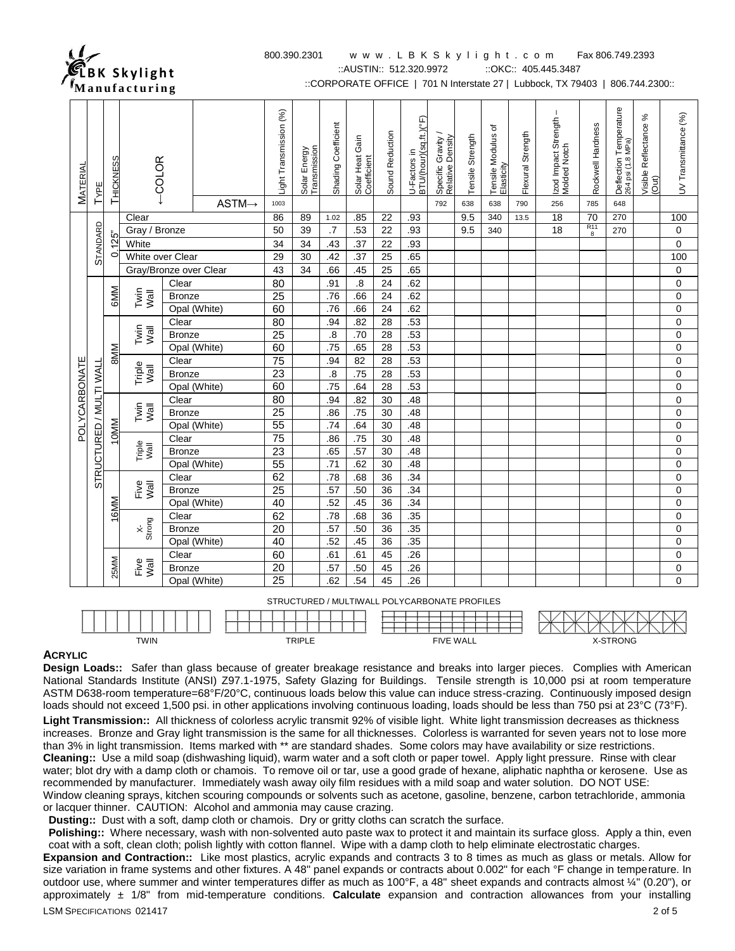

## 800.390.2301 w w w . L B K S k y l i g h t . c o m Fax 806.749.2393

::AUSTIN:: 512.320.9972 :: OKC:: 405.445.3487

::CORPORATE OFFICE | 701 N Interstate 27 | Lubbock, TX 79403 | 806.744.2300::

|               |                         |                            |                        | $\tilde{}$    |                    |                                |                              |                     |                                |                 |                                        |                                               |                         |                                         |                          |                                             |                          |                                                    |                                      |                      |  |             |
|---------------|-------------------------|----------------------------|------------------------|---------------|--------------------|--------------------------------|------------------------------|---------------------|--------------------------------|-----------------|----------------------------------------|-----------------------------------------------|-------------------------|-----------------------------------------|--------------------------|---------------------------------------------|--------------------------|----------------------------------------------------|--------------------------------------|----------------------|--|-------------|
| MATERIAL      | TYPE                    | THICKNESS                  | COLOR                  |               | $ASTM \rightarrow$ | Light Transmission (%)<br>1003 | Solar Energy<br>Transmission | Shading Coefficient | Solar Heat Gain<br>Coefficient | Sound Reduction | U-Factors in<br>BTU/(hour)(sq.ft.)(°F) | Specific Gravity /<br>Relative Density<br>792 | Tensile Strength<br>638 | Tensile Modulus of<br>Elasticity<br>638 | Flexural Strength<br>790 | Izod Impact Strength<br>Molded Notch<br>256 | Rockwell Hardness<br>785 | Deflection Temperature<br>264 psi (1.8 MPa)<br>648 | $\%$<br>Visible Reflectance<br>(Out) | UV Transmittance (%) |  |             |
|               |                         |                            | Clear                  |               |                    | 86                             | 89                           | 1.02                | .85                            | 22              | .93                                    |                                               | 9.5                     | 340                                     | 13.5                     | 18                                          | 70                       | 270                                                |                                      | 100                  |  |             |
|               |                         |                            | Gray / Bronze          |               |                    | 50                             | 39                           | $\cdot$             | .53                            | 22              | .93                                    |                                               | 9.5                     | 340                                     |                          | 18                                          | $\frac{R11}{8}$          | 270                                                |                                      | 0                    |  |             |
|               | <b>STANDARD</b>         | 0.125"                     | White                  |               |                    | 34                             | 34                           | .43                 | .37                            | 22              | .93                                    |                                               |                         |                                         |                          |                                             |                          |                                                    |                                      | $\mathbf 0$          |  |             |
|               |                         |                            | White over Clear       |               |                    | 29                             | 30                           | .42                 | .37                            | 25              | .65                                    |                                               |                         |                                         |                          |                                             |                          |                                                    |                                      | 100                  |  |             |
|               |                         |                            | Gray/Bronze over Clear |               |                    | 43                             | $\overline{34}$              | .66                 | .45                            | $\overline{25}$ | .65                                    |                                               |                         |                                         |                          |                                             |                          |                                                    |                                      | $\pmb{0}$            |  |             |
|               |                         |                            |                        | Clear         |                    | 80                             |                              | .91                 | $\boldsymbol{.8}$              | 24              | .62                                    |                                               |                         |                                         |                          |                                             |                          |                                                    |                                      | $\mathbf 0$          |  |             |
|               |                         | <b>GMM</b><br>Twin<br>Wall |                        |               |                    | <b>Bronze</b>                  |                              | $\overline{25}$     |                                | .76             | .66                                    | 24                                            | .62                     |                                         |                          |                                             |                          |                                                    |                                      |                      |  | $\mathbf 0$ |
|               |                         |                            |                        |               | Opal (White)       | 60                             |                              | .76                 | .66                            | 24              | .62                                    |                                               |                         |                                         |                          |                                             |                          |                                                    |                                      | $\mathbf 0$          |  |             |
|               |                         |                            | Clear                  |               |                    | $\overline{80}$                |                              | .94                 | .82                            | 28              | .53                                    |                                               |                         |                                         |                          |                                             |                          |                                                    |                                      | $\pmb{0}$            |  |             |
|               |                         |                            | Twin<br>Vall           | <b>Bronze</b> |                    | 25                             |                              | .8                  | .70                            | 28              | .53                                    |                                               |                         |                                         |                          |                                             |                          |                                                    |                                      | $\pmb{0}$            |  |             |
|               |                         |                            |                        |               | Opal (White)       | 60                             |                              | .75                 | .65                            | 28              | .53                                    |                                               |                         |                                         |                          |                                             |                          |                                                    |                                      | $\mathbf 0$          |  |             |
|               |                         | <b>MM8</b>                 |                        | Clear         |                    | $\overline{75}$                |                              | .94                 | 82                             | 28              | .53                                    |                                               |                         |                                         |                          |                                             |                          |                                                    |                                      | $\mathbf 0$          |  |             |
|               |                         |                            | Triple<br>Wall         | <b>Bronze</b> |                    | 23                             |                              | $\overline{.8}$     | .75                            | 28              | .53                                    |                                               |                         |                                         |                          |                                             |                          |                                                    |                                      | $\pmb{0}$            |  |             |
|               |                         |                            |                        |               | Opal (White)       | 60                             |                              | .75                 | .64                            | 28              | .53                                    |                                               |                         |                                         |                          |                                             |                          |                                                    |                                      | 0                    |  |             |
| POLYCARBONATE | STRUCTURED / MULTI WALL |                            |                        | Clear         |                    | 80                             |                              | .94                 | .82                            | 30              | .48                                    |                                               |                         |                                         |                          |                                             |                          |                                                    |                                      | $\mathbf 0$          |  |             |
|               |                         |                            | Twin<br>Vall           | <b>Bronze</b> |                    | $\overline{25}$                |                              | .86                 | .75                            | 30              | .48                                    |                                               |                         |                                         |                          |                                             |                          |                                                    |                                      | $\mathbf 0$          |  |             |
|               |                         |                            |                        |               | Opal (White)       | $\overline{55}$                |                              | .74                 | .64                            | 30              | .48                                    |                                               |                         |                                         |                          |                                             |                          |                                                    |                                      | $\pmb{0}$            |  |             |
|               |                         | 10MM                       |                        | Clear         |                    | 75                             |                              | .86                 | .75                            | 30              | .48                                    |                                               |                         |                                         |                          |                                             |                          |                                                    |                                      | $\mathbf 0$          |  |             |
|               |                         |                            | Triple<br>Wall         | <b>Bronze</b> |                    | 23                             |                              | .65                 | .57                            | 30              | .48                                    |                                               |                         |                                         |                          |                                             |                          |                                                    |                                      | $\mathbf 0$          |  |             |
|               |                         |                            |                        |               | Opal (White)       | 55                             |                              | .71                 | .62                            | 30              | .48                                    |                                               |                         |                                         |                          |                                             |                          |                                                    |                                      | $\pmb{0}$            |  |             |
|               |                         |                            |                        | Clear         |                    | 62                             |                              | .78                 | .68                            | 36              | .34                                    |                                               |                         |                                         |                          |                                             |                          |                                                    |                                      | $\mathbf 0$          |  |             |
|               |                         |                            | Five<br>Wall           | <b>Bronze</b> |                    | 25                             |                              | .57                 | .50                            | 36              | .34                                    |                                               |                         |                                         |                          |                                             |                          |                                                    |                                      | $\mathbf 0$          |  |             |
|               |                         | 16MM                       |                        |               | Opal (White)       | 40                             |                              | .52                 | .45                            | 36              | .34                                    |                                               |                         |                                         |                          |                                             |                          |                                                    |                                      | $\mathbf 0$          |  |             |
|               |                         |                            |                        | Clear         |                    | 62                             |                              | .78                 | .68                            | 36              | .35                                    |                                               |                         |                                         |                          |                                             |                          |                                                    |                                      | $\pmb{0}$            |  |             |
|               |                         |                            | $\times$<br>Strong     | <b>Bronze</b> |                    | $\overline{20}$                |                              | .57                 | .50                            | 36              | .35                                    |                                               |                         |                                         |                          |                                             |                          |                                                    |                                      | $\pmb{0}$            |  |             |
|               |                         |                            |                        |               | Opal (White)       | $\overline{40}$                |                              | .52                 | .45                            | 36              | .35                                    |                                               |                         |                                         |                          |                                             |                          |                                                    |                                      | $\mathbf 0$          |  |             |
|               |                         |                            |                        | Clear         |                    | 60                             |                              | .61                 | .61                            | 45              | .26                                    |                                               |                         |                                         |                          |                                             |                          |                                                    |                                      | $\mathbf 0$          |  |             |
|               |                         | 25MM                       | Five<br>Wall           | <b>Bronze</b> |                    | $\overline{20}$                |                              | .57                 | .50                            | 45              | .26                                    |                                               |                         |                                         |                          |                                             |                          |                                                    |                                      | $\mathbf 0$          |  |             |
|               |                         |                            |                        |               | Opal (White)       | 25                             |                              | .62                 | .54                            | 45              | .26                                    |                                               |                         |                                         |                          |                                             |                          |                                                    |                                      | 0                    |  |             |

STRUCTURED / MULTIWALL POLYCARBONATE PROFILES

|             |        |                  | ◡<br>N L<br>ZN.<br>╱ |
|-------------|--------|------------------|----------------------|
| <b>TWIN</b> | TRIPLE | <b>FIVE WALL</b> | -STRONG              |

#### **ACRYLIC**

**Design Loads::** Safer than glass because of greater breakage resistance and breaks into larger pieces. Complies with American National Standards Institute (ANSI) Z97.1-1975, Safety Glazing for Buildings. Tensile strength is 10,000 psi at room temperature ASTM D638-room temperature=68°F/20°C, continuous loads below this value can induce stress-crazing. Continuously imposed design loads should not exceed 1,500 psi. in other applications involving continuous loading, loads should be less than 750 psi at 23°C (73°F).

**Light Transmission::** All thickness of colorless acrylic transmit 92% of visible light. White light transmission decreases as thickness increases. Bronze and Gray light transmission is the same for all thicknesses. Colorless is warranted for seven years not to lose more than 3% in light transmission. Items marked with \*\* are standard shades. Some colors may have availability or size restrictions. **Cleaning::** Use a mild soap (dishwashing liquid), warm water and a soft cloth or paper towel. Apply light pressure. Rinse with clear water; blot dry with a damp cloth or chamois. To remove oil or tar, use a good grade of hexane, aliphatic naphtha or kerosene. Use as recommended by manufacturer. Immediately wash away oily film residues with a mild soap and water solution. DO NOT USE:

Window cleaning sprays, kitchen scouring compounds or solvents such as acetone, gasoline, benzene, carbon tetrachloride, ammonia or lacquer thinner. CAUTION: Alcohol and ammonia may cause crazing.

**Dusting::** Dust with a soft, damp cloth or chamois. Dry or gritty cloths can scratch the surface.

Polishing:: Where necessary, wash with non-solvented auto paste wax to protect it and maintain its surface gloss. Apply a thin, even coat with a soft, clean cloth; polish lightly with cotton flannel. Wipe with a damp cloth to help eliminate electrostatic charges.

LSM SPECIFICATIONS 021417 2 of 5 **Expansion and Contraction::** Like most plastics, acrylic expands and contracts 3 to 8 times as much as glass or metals. Allow for size variation in frame systems and other fixtures. A 48" panel expands or contracts about 0.002" for each °F change in temperature. In outdoor use, where summer and winter temperatures differ as much as 100°F, a 48" sheet expands and contracts almost ¼" (0.20"), or approximately ± 1/8" from mid-temperature conditions. **Calculate** expansion and contraction allowances from your installing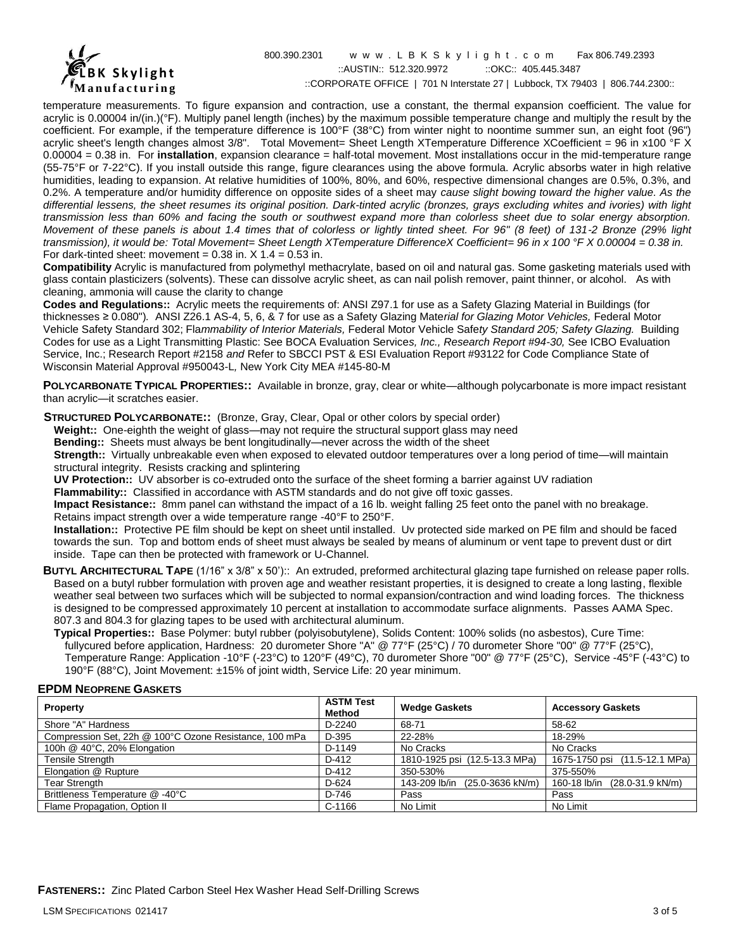

800.390.2301 w w w . L B K S k y l i g h t . c o m Fax 806.749.2393 ::AUSTIN:: 512.320.9972 :: OKC:: 405.445.3487 ::CORPORATE OFFICE | 701 N Interstate 27 | Lubbock, TX 79403 | 806.744.2300::

temperature measurements. To figure expansion and contraction, use a constant, the thermal expansion coefficient. The value for acrylic is 0.00004 in/(in.)(°F). Multiply panel length (inches) by the maximum possible temperature change and multiply the result by the coefficient. For example, if the temperature difference is 100°F (38°C) from winter night to noontime summer sun, an eight foot (96") acrylic sheet's length changes almost 3/8". Total Movement= Sheet Length XTemperature Difference XCoefficient = 96 in x100 °F X 0.00004 = 0.38 in. For **installation**, expansion clearance = half-total movement. Most installations occur in the mid-temperature range (55-75°F or 7-22°C). If you install outside this range, figure clearances using the above formula. Acrylic absorbs water in high relative humidities, leading to expansion. At relative humidities of 100%, 80%, and 60%, respective dimensional changes are 0.5%, 0.3%, and 0.2%. A temperature and/or humidity difference on opposite sides of a sheet may *cause slight bowing toward the higher value. As the*  differential lessens, the sheet resumes its original position. Dark-tinted acrylic (bronzes, grays excluding whites and ivories) with light *transmission less than 60% and facing the south or southwest expand more than colorless sheet due to solar energy absorption. Movement of these panels is about 1.4 times that of colorless or lightly tinted sheet. For 96" (8 feet) of 131-2 Bronze (29% light transmission), it would be: Total Movement= Sheet Length XTemperature DifferenceX Coefficient= 96 in x 100 °F X 0.00004 = 0.38 in.* For dark-tinted sheet: movement =  $0.38$  in.  $X$  1.4 =  $0.53$  in.

**Compatibility** Acrylic is manufactured from polymethyl methacrylate, based on oil and natural gas. Some gasketing materials used with glass contain plasticizers (solvents). These can dissolve acrylic sheet, as can nail polish remover, paint thinner, or alcohol. As with cleaning, ammonia will cause the clarity to change

**Codes and Regulations::** Acrylic meets the requirements of: ANSI Z97.1 for use as a Safety Glazing Material in Buildings (for thicknesses ≥ 0.080")*.* ANSI Z26.1 AS-4, 5, 6, & 7 for use as a Safety Glazing Mate*rial for Glazing Motor Vehicles,* Federal Motor Vehicle Safety Standard 302; Fla*mmability of Interior Materials,* Federal Motor Vehicle Safe*ty Standard 205; Safety Glazing.* Building Codes for use as a Light Transmitting Plastic: See BOCA Evaluation Service*s, Inc., Research Report #94-30,* See ICBO Evaluation Service, Inc.; Research Report #2158 *and* Refer to SBCCI PST & ESI Evaluation Report #93122 for Code Compliance State of Wisconsin Material Approval #950043-L*,* New York City MEA #145-80-M

**POLYCARBONATE TYPICAL PROPERTIES::** Available in bronze, gray, clear or white—although polycarbonate is more impact resistant than acrylic—it scratches easier.

 **STRUCTURED POLYCARBONATE::** (Bronze, Gray, Clear, Opal or other colors by special order)

**Weight::** One-eighth the weight of glass—may not require the structural support glass may need

**Bending::** Sheets must always be bent longitudinally—never across the width of the sheet

**Strength::** Virtually unbreakable even when exposed to elevated outdoor temperatures over a long period of time—will maintain structural integrity. Resists cracking and splintering

**UV Protection::** UV absorber is co-extruded onto the surface of the sheet forming a barrier against UV radiation

**Flammability::** Classified in accordance with ASTM standards and do not give off toxic gasses.

**Impact Resistance::** 8mm panel can withstand the impact of a 16 lb. weight falling 25 feet onto the panel with no breakage. Retains impact strength over a wide temperature range -40°F to 250°F.

**Installation::** Protective PE film should be kept on sheet until installed. Uv protected side marked on PE film and should be faced towards the sun. Top and bottom ends of sheet must always be sealed by means of aluminum or vent tape to prevent dust or dirt inside. Tape can then be protected with framework or U-Channel.

**BUTYL ARCHITECTURAL TAPE** (1/16" x 3/8" x 50')::An extruded, preformed architectural glazing tape furnished on release paper rolls. Based on a butyl rubber formulation with proven age and weather resistant properties, it is designed to create a long lasting, flexible weather seal between two surfaces which will be subjected to normal expansion/contraction and wind loading forces. The thickness is designed to be compressed approximately 10 percent at installation to accommodate surface alignments. Passes AAMA Spec. 807.3 and 804.3 for glazing tapes to be used with architectural aluminum.

**Typical Properties::** Base Polymer: butyl rubber (polyisobutylene), Solids Content: 100% solids (no asbestos), Cure Time: fullycured before application, Hardness: 20 durometer Shore "A" @ 77°F (25°C) / 70 durometer Shore "00" @ 77°F (25°C), Temperature Range: Application -10°F (-23°C) to 120°F (49°C), 70 durometer Shore "00" @ 77°F (25°C), Service -45°F (-43°C) to 190°F (88°C), Joint Movement: ±15% of joint width, Service Life: 20 year minimum.

#### **EPDM NEOPRENE GASKETS**

| Property                                               | <b>ASTM Test</b><br>Method | <b>Wedge Gaskets</b>           | <b>Accessory Gaskets</b>         |
|--------------------------------------------------------|----------------------------|--------------------------------|----------------------------------|
| Shore "A" Hardness                                     | $D-2240$                   | 68-71                          | 58-62                            |
| Compression Set, 22h @ 100°C Ozone Resistance, 100 mPa | D-395                      | 22-28%                         | 18-29%                           |
| 100h @ 40°C, 20% Elongation                            | D-1149                     | No Cracks                      | No Cracks                        |
| <b>Tensile Strength</b>                                | D-412                      | 1810-1925 psi (12.5-13.3 MPa)  | 1675-1750 psi (11.5-12.1 MPa)    |
| Elongation @ Rupture                                   | D-412                      | 350-530%                       | 375-550%                         |
| <b>Tear Strength</b>                                   | D-624                      | 143-209 lb/in (25.0-3636 kN/m) | 160-18 lb/in<br>(28.0-31.9 kN/m) |
| Brittleness Temperature @ -40°C                        | D-746                      | Pass                           | Pass                             |
| Flame Propagation, Option II                           | $C-1166$                   | No Limit                       | No Limit                         |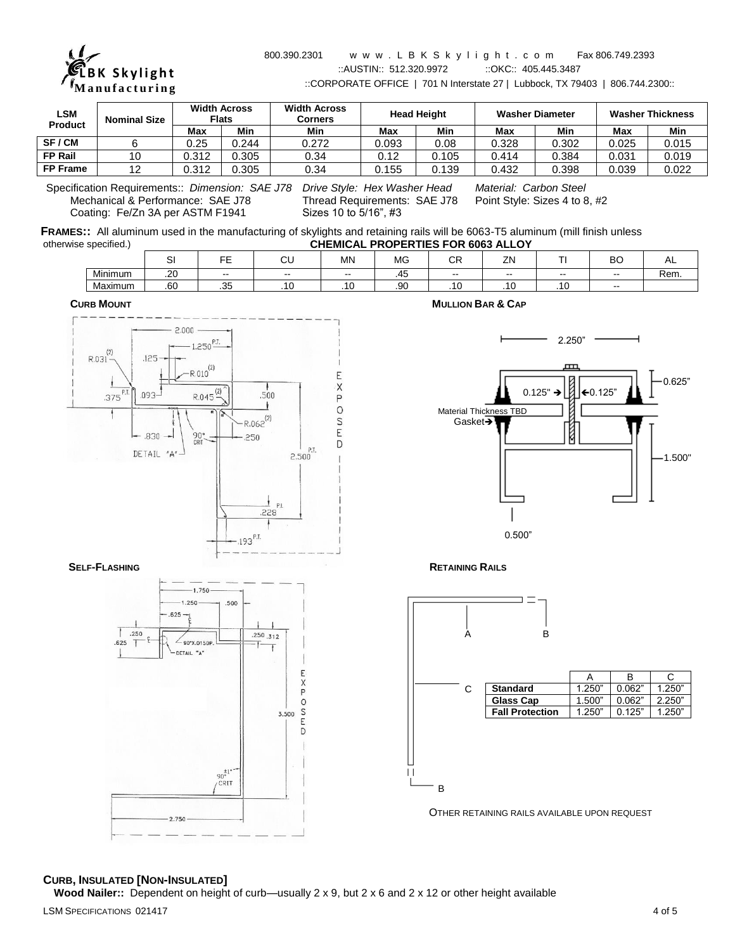

#### 800.390.2301 w w w . L B K S k y l i g h t . c o m Fax 806.749.2393 ::AUSTIN:: 512.320.9972 ::OKC:: 405.445.3487 ::CORPORATE OFFICE | 701 N Interstate 27 | Lubbock, TX 79403 | 806.744.2300::

| <b>LSM</b>      | <b>Width Across</b><br><b>Flats</b><br><b>Nominal Size</b> |       | <b>Width Across</b><br>Corners |       | <b>Head Height</b> |       | <b>Washer Diameter</b> | <b>Washer Thickness</b> |       |       |
|-----------------|------------------------------------------------------------|-------|--------------------------------|-------|--------------------|-------|------------------------|-------------------------|-------|-------|
| <b>Product</b>  |                                                            | Max   | Min                            | Min   | Max                | Min   | Max                    | Min                     | Max   | Min   |
| SF/CM           |                                                            | 0.25  | 0.244                          | 0.272 | 0.093              | 0.08  | 0.328                  | 0.302                   | 0.025 | 0.015 |
| <b>FP Rail</b>  |                                                            | 0.312 | 0.305                          | 0.34  | 0.12               | .105  | 0.414                  | 0.384                   | 0.031 | 0.019 |
| <b>FP Frame</b> |                                                            | 0.312 | 0.305                          | 0.34  | 0.155              | 0.139 | 0.432                  | 0.398                   | 0.039 | 0.022 |

Specification Requirements:: *Dimension: SAE J78 Drive Style: Hex Washer Head Material: Carbon Steel* Mechanical & Performance: SAE J78 Thread Requirements:<br>Coating: Fe/Zn 3A per ASTM F1941 Sizes 10 to 5/16", #3 Coating: Fe/Zn 3A per ASTM F1941

|                       | FRAMES:: All aluminum used in the manufacturing of skylights and retaining rails will be 6063-T5 aluminum (mill finish unless |
|-----------------------|-------------------------------------------------------------------------------------------------------------------------------|
| otherwise specified.) | <b>CHEMICAL PROPERTIES FOR 6063 ALLOY</b>                                                                                     |

|         | $\sim$     | $ -$                 | $\sim$<br>◡◡  | <b>MN</b>   | MG         | $\sim$ $\sim$<br>◡∩ | ZN       |       | DC<br>DU      | ∼    |
|---------|------------|----------------------|---------------|-------------|------------|---------------------|----------|-------|---------------|------|
| Minimum | 20<br>ں ے. | $- -$                | $\sim$ $\sim$ | $- -$       | . –<br>.45 | $- -$               | $- -$    | $- -$ | $- -$         | Rem. |
| Maximum | .60        | $\sim$ $\sim$<br>. ٽ | $\sim$<br>.   | $\sim$<br>. | .90        | $\cdot$             | . .<br>. | .     | $\sim$ $\sim$ |      |

 **CURB MOUNT MULLION BAR & CAP**



 $-1.750$  $-1.250$ 

 $\angle$  90° X.015DP.

DETAIL "A"

 $.625 -$ 

 $.250$ 

.625  $\overline{1}$  .500

 $50^{\frac{+1}{2}}$ 

CRIT

 $.250.312$ 

Ť

 $\frac{E}{Y}$  $\circ$ S 3.500 E  $\overline{D}$ 









# **CURB, INSULATED [NON-INSULATED]**

2.750

**Wood Nailer::** Dependent on height of curb—usually 2 x 9, but 2 x 6 and 2 x 12 or other height available